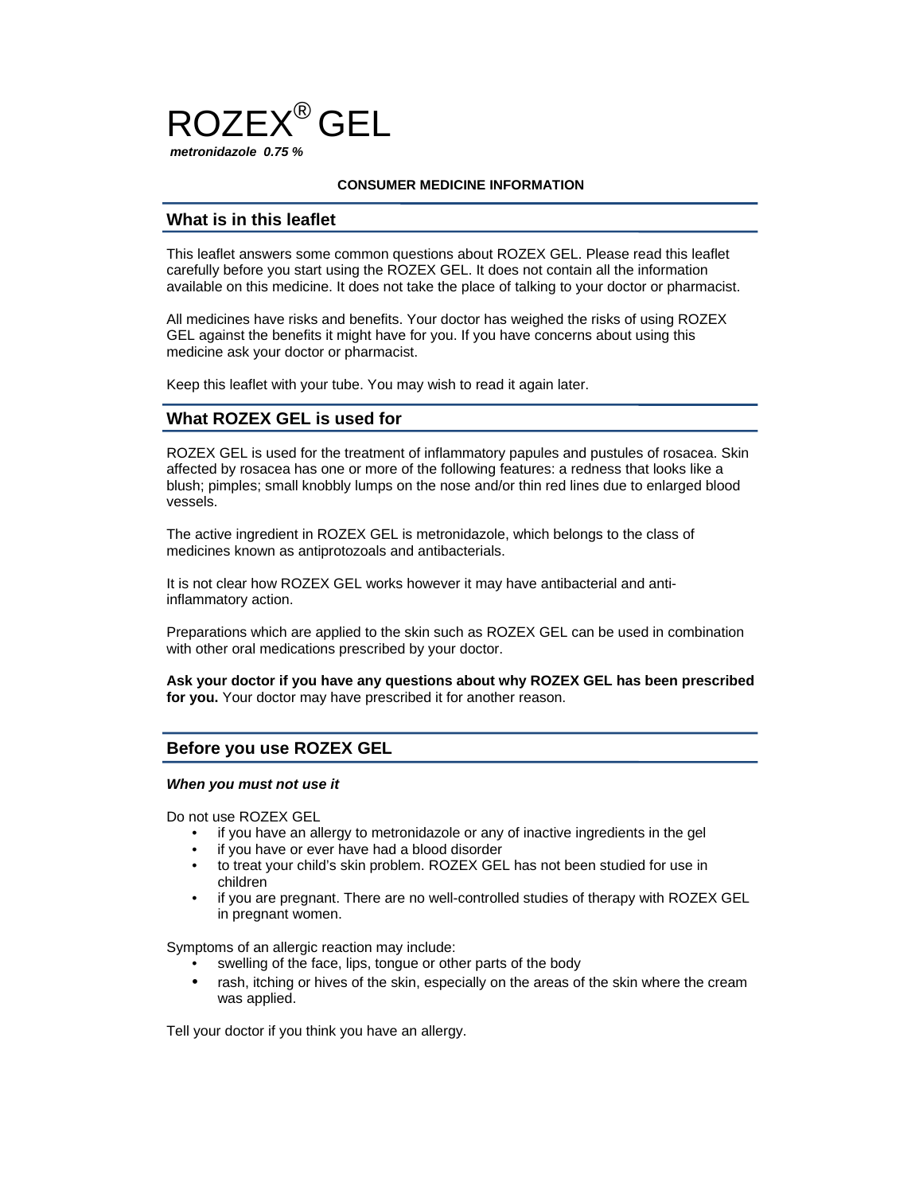

#### **CONSUMER MEDICINE INFORMATION**

## **What is in this leaflet**

This leaflet answers some common questions about ROZEX GEL. Please read this leaflet carefully before you start using the ROZEX GEL. It does not contain all the information available on this medicine. It does not take the place of talking to your doctor or pharmacist.

All medicines have risks and benefits. Your doctor has weighed the risks of using ROZEX GEL against the benefits it might have for you. If you have concerns about using this medicine ask your doctor or pharmacist.

Keep this leaflet with your tube. You may wish to read it again later.

## **What ROZEX GEL is used for**

ROZEX GEL is used for the treatment of inflammatory papules and pustules of rosacea. Skin affected by rosacea has one or more of the following features: a redness that looks like a blush; pimples; small knobbly lumps on the nose and/or thin red lines due to enlarged blood vessels.

The active ingredient in ROZEX GEL is metronidazole, which belongs to the class of medicines known as antiprotozoals and antibacterials.

It is not clear how ROZEX GEL works however it may have antibacterial and antiinflammatory action.

Preparations which are applied to the skin such as ROZEX GEL can be used in combination with other oral medications prescribed by your doctor.

**Ask your doctor if you have any questions about why ROZEX GEL has been prescribed for you.** Your doctor may have prescribed it for another reason.

## **Before you use ROZEX GEL**

#### *When you must not use it*

Do not use ROZEX GEL

- if you have an allergy to metronidazole or any of inactive ingredients in the gel
- if you have or ever have had a blood disorder
- to treat your child's skin problem. ROZEX GEL has not been studied for use in children
- if you are pregnant. There are no well-controlled studies of therapy with ROZEX GEL in pregnant women.

Symptoms of an allergic reaction may include:

- swelling of the face, lips, tongue or other parts of the body
- rash, itching or hives of the skin, especially on the areas of the skin where the cream was applied.

Tell your doctor if you think you have an allergy.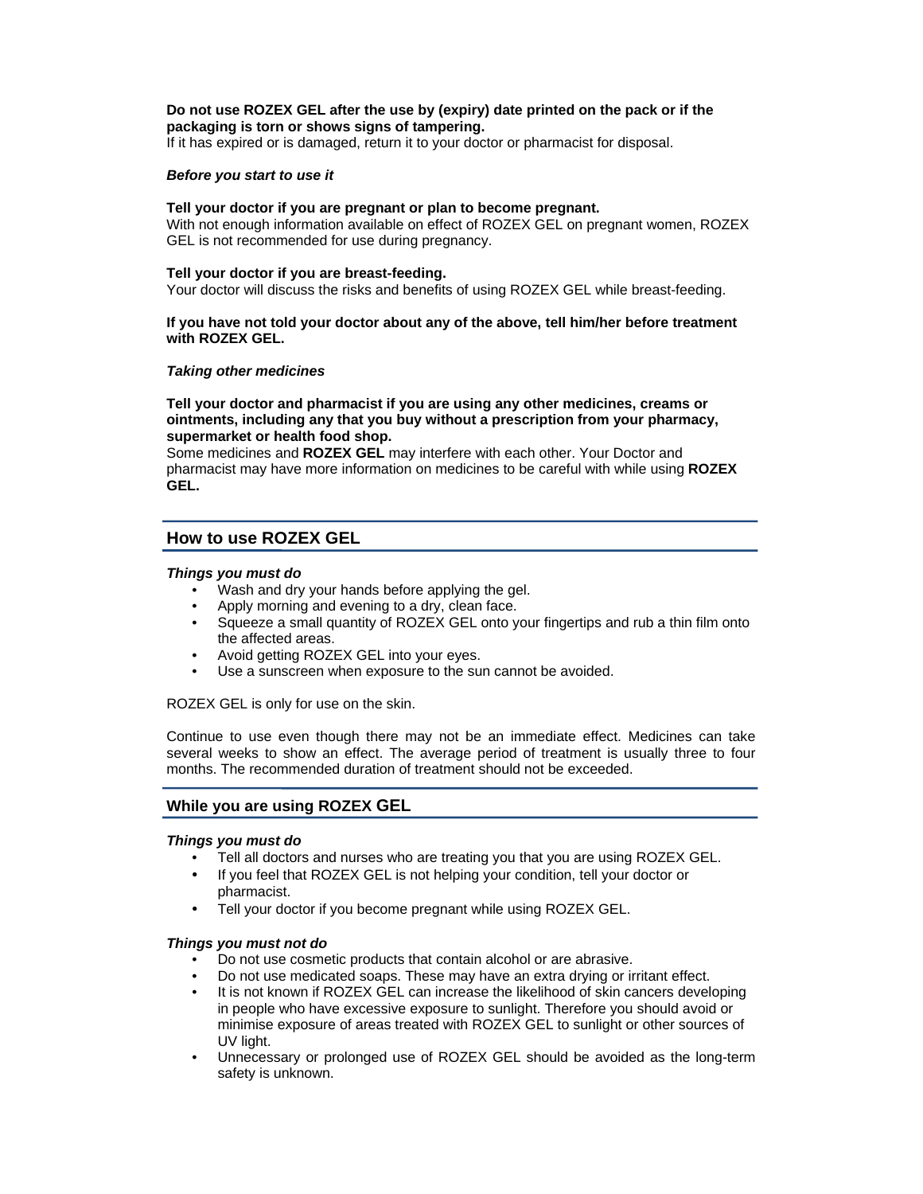## **Do not use ROZEX GEL after the use by (expiry) date printed on the pack or if the packaging is torn or shows signs of tampering.**

If it has expired or is damaged, return it to your doctor or pharmacist for disposal.

#### *Before you start to use it*

### **Tell your doctor if you are pregnant or plan to become pregnant.**

With not enough information available on effect of ROZEX GEL on pregnant women, ROZEX GEL is not recommended for use during pregnancy.

#### **Tell your doctor if you are breast-feeding.**

Your doctor will discuss the risks and benefits of using ROZEX GEL while breast-feeding.

### **If you have not told your doctor about any of the above, tell him/her before treatment with ROZEX GEL.**

### *Taking other medicines*

### **Tell your doctor and pharmacist if you are using any other medicines, creams or ointments, including any that you buy without a prescription from your pharmacy, supermarket or health food shop.**

Some medicines and **ROZEX GEL** may interfere with each other. Your Doctor and pharmacist may have more information on medicines to be careful with while using **ROZEX GEL.** 

# **How to use ROZEX GEL**

#### *Things you must do*

- Wash and dry your hands before applying the gel.
- Apply morning and evening to a dry, clean face.
- Squeeze a small quantity of ROZEX GEL onto your fingertips and rub a thin film onto the affected areas.
- Avoid getting ROZEX GEL into your eyes.
- Use a sunscreen when exposure to the sun cannot be avoided.

ROZEX GEL is only for use on the skin.

Continue to use even though there may not be an immediate effect. Medicines can take several weeks to show an effect. The average period of treatment is usually three to four months. The recommended duration of treatment should not be exceeded.

## **While you are using ROZEX GEL**

## *Things you must do*

- Tell all doctors and nurses who are treating you that you are using ROZEX GEL.
- If you feel that ROZEX GEL is not helping your condition, tell your doctor or pharmacist.
- Tell your doctor if you become pregnant while using ROZEX GEL.

## *Things you must not do*

- Do not use cosmetic products that contain alcohol or are abrasive.
- Do not use medicated soaps. These may have an extra drying or irritant effect.
- It is not known if ROZEX GEL can increase the likelihood of skin cancers developing in people who have excessive exposure to sunlight. Therefore you should avoid or minimise exposure of areas treated with ROZEX GEL to sunlight or other sources of UV light.
- Unnecessary or prolonged use of ROZEX GEL should be avoided as the long-term safety is unknown.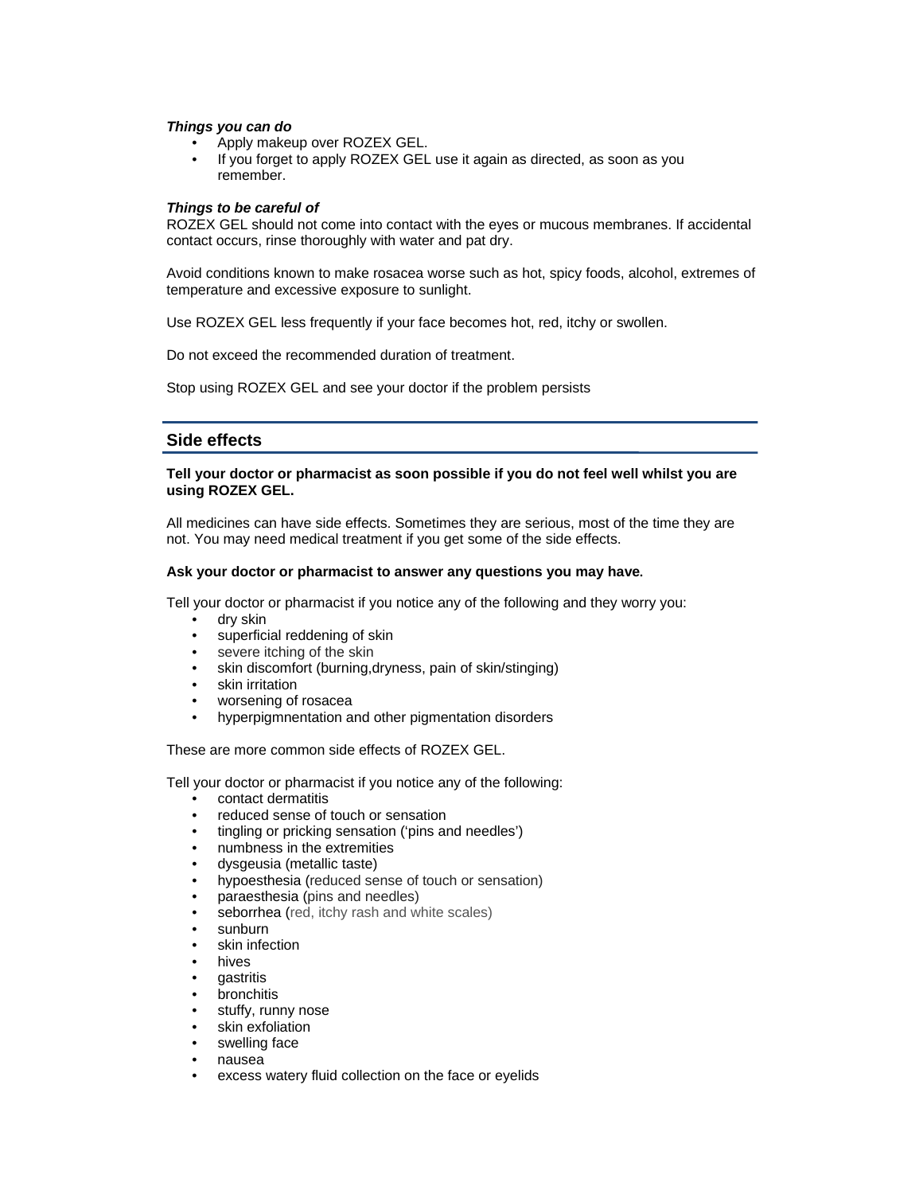#### *Things you can do*

- Apply makeup over ROZEX GEL.
- If you forget to apply ROZEX GEL use it again as directed, as soon as you remember.

### *Things to be careful of*

ROZEX GEL should not come into contact with the eyes or mucous membranes. If accidental contact occurs, rinse thoroughly with water and pat dry.

Avoid conditions known to make rosacea worse such as hot, spicy foods, alcohol, extremes of temperature and excessive exposure to sunlight.

Use ROZEX GEL less frequently if your face becomes hot, red, itchy or swollen.

Do not exceed the recommended duration of treatment.

Stop using ROZEX GEL and see your doctor if the problem persists

# **Side effects**

### **Tell your doctor or pharmacist as soon possible if you do not feel well whilst you are using ROZEX GEL.**

All medicines can have side effects. Sometimes they are serious, most of the time they are not. You may need medical treatment if you get some of the side effects.

#### **Ask your doctor or pharmacist to answer any questions you may have.**

Tell your doctor or pharmacist if you notice any of the following and they worry you:

- dry skin
- superficial reddening of skin
- severe itching of the skin
- skin discomfort (burning,dryness, pain of skin/stinging)
- skin irritation
- worsening of rosacea
- hyperpigmnentation and other pigmentation disorders

These are more common side effects of ROZEX GEL.

Tell your doctor or pharmacist if you notice any of the following:

- contact dermatitis
- reduced sense of touch or sensation
- tingling or pricking sensation ('pins and needles')
- numbness in the extremities
- dysgeusia (metallic taste)
- hypoesthesia (reduced sense of touch or sensation)
- paraesthesia (pins and needles)
- seborrhea (red, itchy rash and white scales)
- sunburn
- skin infection
- hives
- **gastritis**
- **bronchitis**
- stuffy, runny nose
- skin exfoliation
- swelling face
- nausea
- excess watery fluid collection on the face or eyelids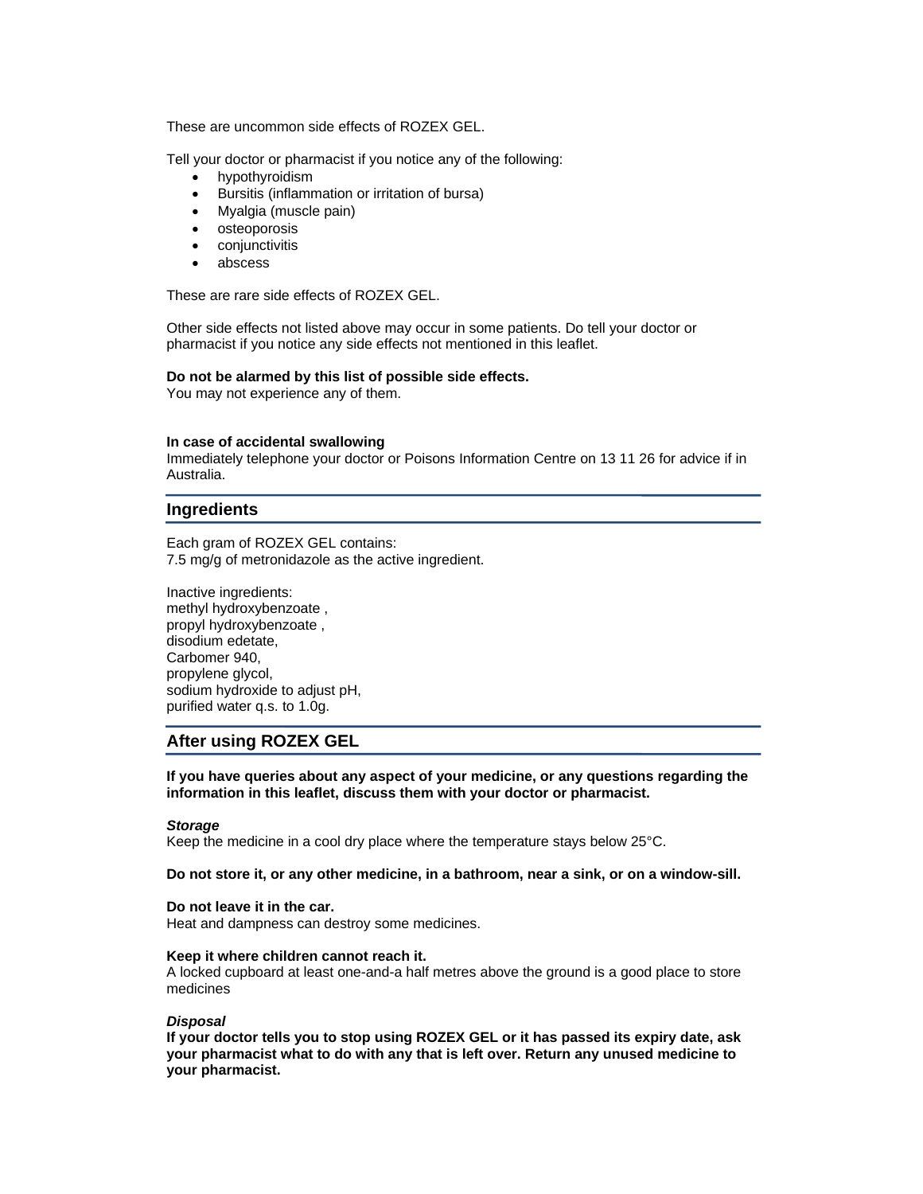These are uncommon side effects of ROZEX GEL.

Tell your doctor or pharmacist if you notice any of the following:

- hypothyroidism
- Bursitis (inflammation or irritation of bursa)
- Myalgia (muscle pain)
- osteoporosis
- conjunctivitis
- abscess

These are rare side effects of ROZEX GEL.

Other side effects not listed above may occur in some patients. Do tell your doctor or pharmacist if you notice any side effects not mentioned in this leaflet.

#### **Do not be alarmed by this list of possible side effects.**

You may not experience any of them.

#### **In case of accidental swallowing**

Immediately telephone your doctor or Poisons Information Centre on 13 11 26 for advice if in Australia.

## **Ingredients**

Each gram of ROZEX GEL contains: 7.5 mg/g of metronidazole as the active ingredient.

Inactive ingredients: methyl hydroxybenzoate , propyl hydroxybenzoate , disodium edetate, Carbomer 940, propylene glycol, sodium hydroxide to adjust pH, purified water q.s. to 1.0g.

## **After using ROZEX GEL**

**If you have queries about any aspect of your medicine, or any questions regarding the information in this leaflet, discuss them with your doctor or pharmacist.** 

#### *Storage*

Keep the medicine in a cool dry place where the temperature stays below 25°C.

#### **Do not store it, or any other medicine, in a bathroom, near a sink, or on a window-sill.**

#### **Do not leave it in the car.**

Heat and dampness can destroy some medicines.

#### **Keep it where children cannot reach it.**

A locked cupboard at least one-and-a half metres above the ground is a good place to store medicines

#### *Disposal*

**If your doctor tells you to stop using ROZEX GEL or it has passed its expiry date, ask your pharmacist what to do with any that is left over. Return any unused medicine to your pharmacist.**